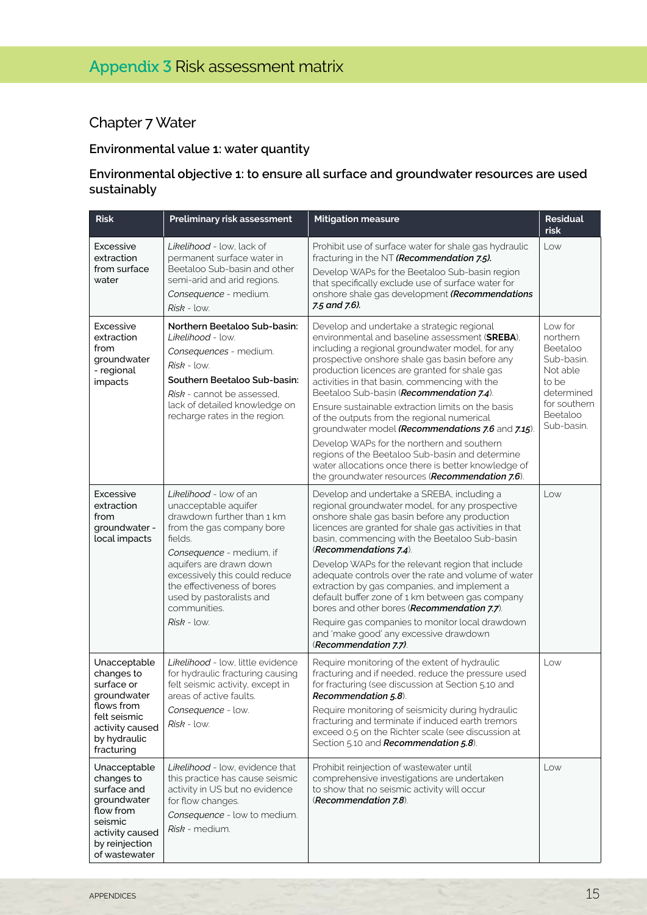# Chapter 7 Water

# **Environmental value 1: water quantity**

### **Environmental objective 1: to ensure all surface and groundwater resources are used sustainably**

| <b>Risk</b>                                                                                                                                                                         | Preliminary risk assessment                                                                                                                                                                                                                                                                             | <b>Mitigation measure</b>                                                                                                                                                                                                                                                                                                                                                                                                                                                                                                                                                                                                                                                                                          | <b>Residual</b><br>risk                                                                                                    |
|-------------------------------------------------------------------------------------------------------------------------------------------------------------------------------------|---------------------------------------------------------------------------------------------------------------------------------------------------------------------------------------------------------------------------------------------------------------------------------------------------------|--------------------------------------------------------------------------------------------------------------------------------------------------------------------------------------------------------------------------------------------------------------------------------------------------------------------------------------------------------------------------------------------------------------------------------------------------------------------------------------------------------------------------------------------------------------------------------------------------------------------------------------------------------------------------------------------------------------------|----------------------------------------------------------------------------------------------------------------------------|
| Excessive<br>extraction<br>from surface<br>water                                                                                                                                    | Likelihood - low, lack of<br>permanent surface water in<br>Beetaloo Sub-basin and other<br>semi-arid and arid regions.<br>Consequence - medium.<br>$Risk - low.$                                                                                                                                        | Prohibit use of surface water for shale gas hydraulic<br>fracturing in the NT (Recommendation 7.5).<br>Develop WAPs for the Beetaloo Sub-basin region<br>that specifically exclude use of surface water for<br>onshore shale gas development (Recommendations<br>7.5 and 7.6).                                                                                                                                                                                                                                                                                                                                                                                                                                     | Low                                                                                                                        |
| Excessive<br>extraction<br>from<br>groundwater<br>- regional<br>impacts                                                                                                             | Northern Beetaloo Sub-basin:<br>Likelihood - low.<br>Consequences - medium.<br>$Risk - low.$<br>Southern Beetaloo Sub-basin:<br>Risk - cannot be assessed,<br>lack of detailed knowledge on<br>recharge rates in the region.                                                                            | Develop and undertake a strategic regional<br>environmental and baseline assessment (SREBA),<br>including a regional groundwater model, for any<br>prospective onshore shale gas basin before any<br>production licences are granted for shale gas<br>activities in that basin, commencing with the<br>Beetaloo Sub-basin (Recommendation 7.4).<br>Ensure sustainable extraction limits on the basis<br>of the outputs from the regional numerical<br>groundwater model (Recommendations 7.6 and 7.15).<br>Develop WAPs for the northern and southern<br>regions of the Beetaloo Sub-basin and determine<br>water allocations once there is better knowledge of<br>the groundwater resources (Recommendation 7.6). | Low for<br>northern<br>Beetaloo<br>Sub-basin.<br>Not able<br>to be<br>determined<br>for southern<br>Beetaloo<br>Sub-basin. |
| Excessive<br>extraction<br>from<br>groundwater -<br>local impacts                                                                                                                   | Likelihood - low of an<br>unacceptable aquifer<br>drawdown further than 1 km<br>from the gas company bore<br>fields.<br>Consequence - medium, if<br>aquifers are drawn down<br>excessively this could reduce<br>the effectiveness of bores<br>used by pastoralists and<br>communities.<br>$Risk - low.$ | Develop and undertake a SREBA, including a<br>regional groundwater model, for any prospective<br>onshore shale gas basin before any production<br>licences are granted for shale gas activities in that<br>basin, commencing with the Beetaloo Sub-basin<br>(Recommendations 7.4).<br>Develop WAPs for the relevant region that include<br>adequate controls over the rate and volume of water<br>extraction by gas companies, and implement a<br>default buffer zone of 1 km between gas company<br>bores and other bores (Recommendation 7.7).<br>Require gas companies to monitor local drawdown<br>and 'make good' any excessive drawdown<br>(Recommendation 7.7).                                             | Low                                                                                                                        |
| Unacceptable<br>changes to<br>surface or<br>groundwater<br>flows from<br>felt seismic<br>activity caused<br>by hydraulic<br>fracturing<br>Unacceptable<br>changes to<br>surface and | Likelihood - low, little evidence<br>for hydraulic fracturing causing<br>felt seismic activity, except in<br>areas of active faults.<br>Consequence - low.<br>$Risk - low.$<br>Likelihood - low, evidence that<br>this practice has cause seismic<br>activity in US but no evidence                     | Require monitoring of the extent of hydraulic<br>fracturing and if needed, reduce the pressure used<br>for fracturing (see discussion at Section 5.10 and<br>Recommendation 5.8).<br>Require monitoring of seismicity during hydraulic<br>fracturing and terminate if induced earth tremors<br>exceed 0.5 on the Richter scale (see discussion at<br>Section 5.10 and Recommendation 5.8).<br>Prohibit reinjection of wastewater until<br>comprehensive investigations are undertaken<br>to show that no seismic activity will occur                                                                                                                                                                               | Low<br>Low                                                                                                                 |
| groundwater<br>flow from<br>seismic<br>activity caused<br>by reinjection<br>of wastewater                                                                                           | for flow changes.<br>Consequence - low to medium.<br>Risk - medium.                                                                                                                                                                                                                                     | (Recommendation 7.8).                                                                                                                                                                                                                                                                                                                                                                                                                                                                                                                                                                                                                                                                                              |                                                                                                                            |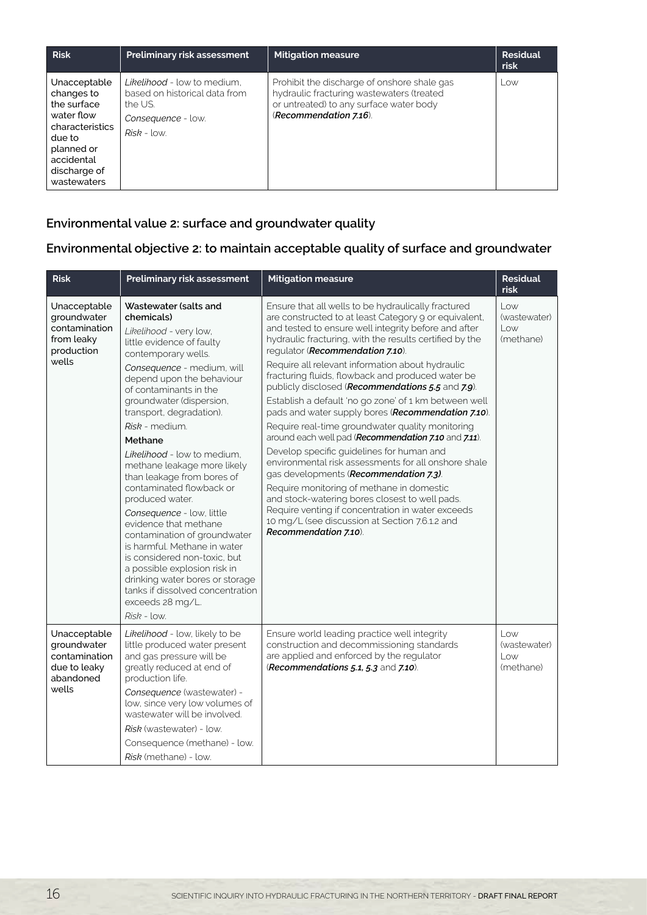| <b>Risk</b>                                                                                                                                     | <b>Preliminary risk assessment</b>                                                                             | <b>Mitigation measure</b>                                                                                                                                     | <b>Residual</b><br>risk |
|-------------------------------------------------------------------------------------------------------------------------------------------------|----------------------------------------------------------------------------------------------------------------|---------------------------------------------------------------------------------------------------------------------------------------------------------------|-------------------------|
| Unacceptable<br>changes to<br>the surface<br>water flow<br>characteristics<br>due to<br>planned or<br>accidental<br>discharge of<br>wastewaters | Likelihood - low to medium.<br>based on historical data from<br>the US.<br>Consequence - low.<br>$Risk - low.$ | Prohibit the discharge of onshore shale gas<br>hydraulic fracturing wastewaters (treated<br>or untreated) to any surface water body<br>(Recommendation 7.16). | $\sim$                  |

# **Environmental value 2: surface and groundwater quality**

# **Environmental objective 2: to maintain acceptable quality of surface and groundwater**

| <b>Risk</b>                                                                        | Preliminary risk assessment                                                                                                                                                                                                                                                                                                                                                                                                                                                                                                                                                                                                                                                                                                            | <b>Mitigation measure</b>                                                                                                                                                                                                                                                                                                                                                                                                                                                                                                                                                                                                                                                                                                                                                                                                                                                                                                                                                                                                                  | <b>Residual</b><br>risk                                                               |
|------------------------------------------------------------------------------------|----------------------------------------------------------------------------------------------------------------------------------------------------------------------------------------------------------------------------------------------------------------------------------------------------------------------------------------------------------------------------------------------------------------------------------------------------------------------------------------------------------------------------------------------------------------------------------------------------------------------------------------------------------------------------------------------------------------------------------------|--------------------------------------------------------------------------------------------------------------------------------------------------------------------------------------------------------------------------------------------------------------------------------------------------------------------------------------------------------------------------------------------------------------------------------------------------------------------------------------------------------------------------------------------------------------------------------------------------------------------------------------------------------------------------------------------------------------------------------------------------------------------------------------------------------------------------------------------------------------------------------------------------------------------------------------------------------------------------------------------------------------------------------------------|---------------------------------------------------------------------------------------|
| Unacceptable<br>groundwater<br>contamination<br>from leaky<br>production<br>wells  | Wastewater (salts and<br>chemicals)<br>Likelihood - very low.<br>little evidence of faulty<br>contemporary wells.<br>Consequence - medium, will<br>depend upon the behaviour<br>of contaminants in the<br>groundwater (dispersion,<br>transport, degradation).<br>Risk - medium.<br>Methane<br>Likelihood - low to medium.<br>methane leakage more likely<br>than leakage from bores of<br>contaminated flowback or<br>produced water.<br>Consequence - low, little<br>evidence that methane<br>contamination of groundwater<br>is harmful. Methane in water<br>is considered non-toxic, but<br>a possible explosion risk in<br>drinking water bores or storage<br>tanks if dissolved concentration<br>exceeds 28 mg/L.<br>Risk - low. | Ensure that all wells to be hydraulically fractured<br>are constructed to at least Category 9 or equivalent,<br>and tested to ensure well integrity before and after<br>hydraulic fracturing, with the results certified by the<br>regulator (Recommendation 7.10).<br>Require all relevant information about hydraulic<br>fracturing fluids, flowback and produced water be<br>publicly disclosed (Recommendations 5.5 and 7.9).<br>Establish a default 'no go zone' of 1 km between well<br>pads and water supply bores (Recommendation 7.10).<br>Require real-time groundwater quality monitoring<br>around each well pad (Recommendation 7.10 and 7.11).<br>Develop specific guidelines for human and<br>environmental risk assessments for all onshore shale<br>gas developments (Recommendation 7.3).<br>Require monitoring of methane in domestic<br>and stock-watering bores closest to well pads.<br>Require venting if concentration in water exceeds<br>10 mg/L (see discussion at Section 7.6.1.2 and<br>Recommendation 7.10). | Low<br>(wastewater)<br>$\overline{\phantom{a}}$<br>(methane)                          |
| Unacceptable<br>groundwater<br>contamination<br>due to leaky<br>abandoned<br>wells | Likelihood - low, likely to be<br>little produced water present<br>and gas pressure will be<br>greatly reduced at end of<br>production life.<br>Consequence (wastewater) -<br>low, since very low volumes of<br>wastewater will be involved.<br>Risk (wastewater) - low.<br>Consequence (methane) - low.<br>Risk (methane) - low.                                                                                                                                                                                                                                                                                                                                                                                                      | Ensure world leading practice well integrity<br>construction and decommissioning standards<br>are applied and enforced by the regulator<br>(Recommendations 5.1, 5.3 and 7.10).                                                                                                                                                                                                                                                                                                                                                                                                                                                                                                                                                                                                                                                                                                                                                                                                                                                            | Low<br>(wastewater)<br>$\overline{\phantom{a}}$ $\overline{\phantom{a}}$<br>(methane) |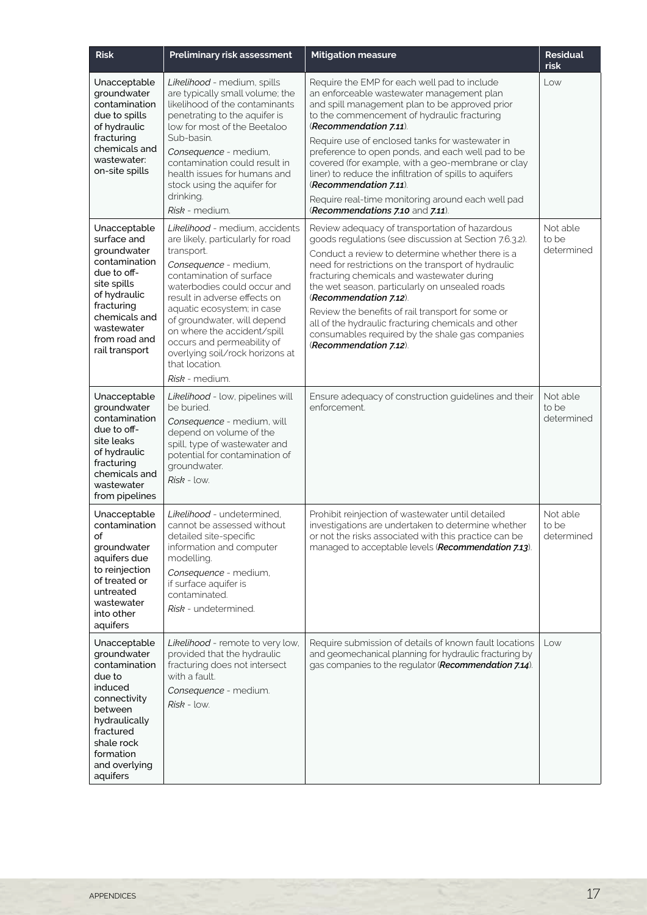| <b>Risk</b>                                                                                                                                                                               | Preliminary risk assessment                                                                                                                                                                                                                                                                                                                                                                            | <b>Mitigation measure</b>                                                                                                                                                                                                                                                                                                                                                                                                                                                                                                                                       | <b>Residual</b><br><b>risk</b>  |
|-------------------------------------------------------------------------------------------------------------------------------------------------------------------------------------------|--------------------------------------------------------------------------------------------------------------------------------------------------------------------------------------------------------------------------------------------------------------------------------------------------------------------------------------------------------------------------------------------------------|-----------------------------------------------------------------------------------------------------------------------------------------------------------------------------------------------------------------------------------------------------------------------------------------------------------------------------------------------------------------------------------------------------------------------------------------------------------------------------------------------------------------------------------------------------------------|---------------------------------|
| Unacceptable<br>groundwater<br>contamination<br>due to spills<br>of hydraulic<br>fracturing<br>chemicals and<br>wastewater:<br>on-site spills                                             | Likelihood - medium, spills<br>are typically small volume; the<br>likelihood of the contaminants<br>penetrating to the aquifer is<br>low for most of the Beetaloo<br>Sub-basin.<br>Consequence - medium,<br>contamination could result in<br>health issues for humans and<br>stock using the aquifer for<br>drinking.<br>Risk - medium.                                                                | Require the EMP for each well pad to include<br>an enforceable wastewater management plan<br>and spill management plan to be approved prior<br>to the commencement of hydraulic fracturing<br>(Recommendation 7.11).<br>Require use of enclosed tanks for wastewater in<br>preference to open ponds, and each well pad to be<br>covered (for example, with a geo-membrane or clay<br>liner) to reduce the infiltration of spills to aquifers<br>(Recommendation 7.11).<br>Require real-time monitoring around each well pad<br>(Recommendations 7.10 and 7.11). | Low                             |
| Unacceptable<br>surface and<br>groundwater<br>contamination<br>due to off-<br>site spills<br>of hydraulic<br>fracturing<br>chemicals and<br>wastewater<br>from road and<br>rail transport | Likelihood - medium, accidents<br>are likely, particularly for road<br>transport.<br>Consequence - medium,<br>contamination of surface<br>waterbodies could occur and<br>result in adverse effects on<br>aquatic ecosystem; in case<br>of groundwater, will depend<br>on where the accident/spill<br>occurs and permeability of<br>overlying soil/rock horizons at<br>that location.<br>Risk - medium. | Review adequacy of transportation of hazardous<br>goods regulations (see discussion at Section 7.6.3.2).<br>Conduct a review to determine whether there is a<br>need for restrictions on the transport of hydraulic<br>fracturing chemicals and wastewater during<br>the wet season, particularly on unsealed roads<br>(Recommendation 7.12).<br>Review the benefits of rail transport for some or<br>all of the hydraulic fracturing chemicals and other<br>consumables required by the shale gas companies<br>(Recommendation 7.12).                          | Not able<br>to be<br>determined |
| Unacceptable<br>groundwater<br>contamination<br>due to off-<br>site leaks<br>of hydraulic<br>fracturing<br>chemicals and<br>wastewater<br>from pipelines                                  | Likelihood - low, pipelines will<br>be buried.<br>Consequence - medium, will<br>depend on volume of the<br>spill, type of wastewater and<br>potential for contamination of<br>groundwater.<br>$Risk - low.$                                                                                                                                                                                            | Ensure adequacy of construction guidelines and their<br>enforcement.                                                                                                                                                                                                                                                                                                                                                                                                                                                                                            | Not able<br>to be<br>determined |
| Unacceptable<br>contamination<br>of<br>groundwater<br>aquifers due<br>to reinjection<br>of treated or<br>untreated<br>wastewater<br>into other<br>aquifers                                | Likelihood - undetermined,<br>cannot be assessed without<br>detailed site-specific<br>information and computer<br>modelling.<br>Consequence - medium,<br>if surface aquifer is<br>contaminated.<br>Risk - undetermined.                                                                                                                                                                                | Prohibit reinjection of wastewater until detailed<br>investigations are undertaken to determine whether<br>or not the risks associated with this practice can be<br>managed to acceptable levels (Recommendation 7.13).                                                                                                                                                                                                                                                                                                                                         | Not able<br>to be<br>determined |
| Unacceptable<br>groundwater<br>contamination<br>due to<br>induced<br>connectivity<br>between<br>hydraulically<br>fractured<br>shale rock<br>formation<br>and overlying<br>aquifers        | Likelihood - remote to very low,<br>provided that the hydraulic<br>fracturing does not intersect<br>with a fault.<br>Consequence - medium.<br>$Risk - low.$                                                                                                                                                                                                                                            | Require submission of details of known fault locations<br>and geomechanical planning for hydraulic fracturing by<br>gas companies to the regulator (Recommendation 7.14).                                                                                                                                                                                                                                                                                                                                                                                       | Low                             |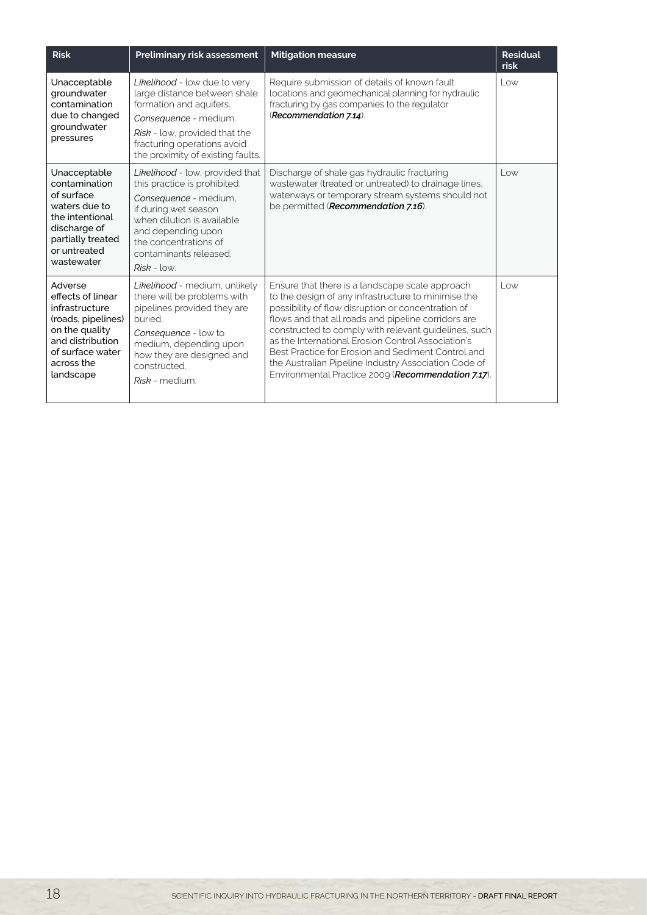| <b>Risk</b>                                                                                                                                               | <b>Preliminary risk assessment</b>                                                                                                                                                                                                       | <b>Mitigation measure</b>                                                                                                                                                                                                                                                                                                                                                                                                                                                                             | <b>Residual</b><br>risk |
|-----------------------------------------------------------------------------------------------------------------------------------------------------------|------------------------------------------------------------------------------------------------------------------------------------------------------------------------------------------------------------------------------------------|-------------------------------------------------------------------------------------------------------------------------------------------------------------------------------------------------------------------------------------------------------------------------------------------------------------------------------------------------------------------------------------------------------------------------------------------------------------------------------------------------------|-------------------------|
| Unacceptable<br>groundwater<br>contamination<br>due to changed<br>groundwater<br>pressures                                                                | Likelihood - low due to very<br>large distance between shale<br>formation and aquifers.<br>Consequence - medium.<br>Risk - low, provided that the<br>fracturing operations avoid<br>the proximity of existing faults.                    | Require submission of details of known fault<br>locations and geomechanical planning for hydraulic<br>fracturing by gas companies to the regulator<br>(Recommendation 7.14).                                                                                                                                                                                                                                                                                                                          | $L$ $\circ$ $\times$    |
| Unacceptable<br>contamination<br>of surface<br>waters due to<br>the intentional<br>discharge of<br>partially treated<br>or untreated<br>wastewater        | Likelihood - low, provided that<br>this practice is prohibited.<br>Consequence - medium,<br>if during wet season<br>when dilution is available<br>and depending upon<br>the concentrations of<br>contaminants released.<br>$Risk - low.$ | Discharge of shale gas hydraulic fracturing<br>wastewater (treated or untreated) to drainage lines,<br>waterways or temporary stream systems should not<br>be permitted (Recommendation 7.16).                                                                                                                                                                                                                                                                                                        | Low                     |
| Adverse<br>effects of linear<br>infrastructure<br>(roads, pipelines)<br>on the quality<br>and distribution<br>of surface water<br>across the<br>landscape | Likelihood - medium, unlikely<br>there will be problems with<br>pipelines provided they are<br>buried.<br>Consequence - low to<br>medium, depending upon<br>how they are designed and<br>constructed.<br>Risk - medium.                  | Ensure that there is a landscape scale approach<br>to the design of any infrastructure to minimise the<br>possibility of flow disruption or concentration of<br>flows and that all roads and pipeline corridors are<br>constructed to comply with relevant guidelines, such<br>as the International Erosion Control Association's<br>Best Practice for Erosion and Sediment Control and<br>the Australian Pipeline Industry Association Code of<br>Environmental Practice 2009 (Recommendation 7.17). | $L$ $\circ$ $W$         |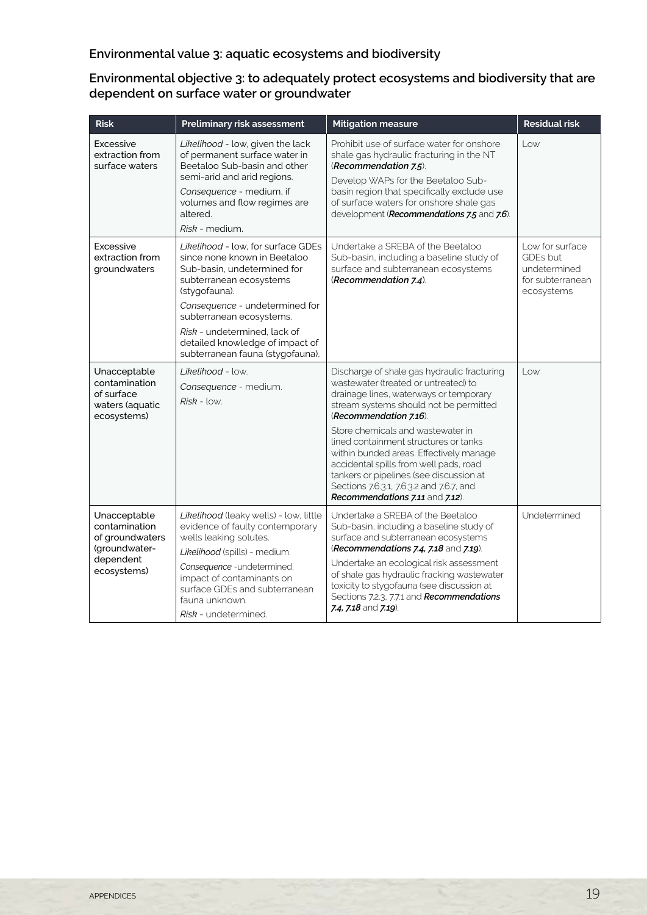# **Environmental value 3: aquatic ecosystems and biodiversity**

#### **Environmental objective 3: to adequately protect ecosystems and biodiversity that are dependent on surface water or groundwater**

| <b>Risk</b>                                                                                   | Preliminary risk assessment                                                                                                                                                                                                                                                                                        | <b>Mitigation measure</b>                                                                                                                                                                                                                                                                                                                                                                                                                                                                      | <b>Residual risk</b>                                                          |
|-----------------------------------------------------------------------------------------------|--------------------------------------------------------------------------------------------------------------------------------------------------------------------------------------------------------------------------------------------------------------------------------------------------------------------|------------------------------------------------------------------------------------------------------------------------------------------------------------------------------------------------------------------------------------------------------------------------------------------------------------------------------------------------------------------------------------------------------------------------------------------------------------------------------------------------|-------------------------------------------------------------------------------|
| Excessive<br>extraction from<br>surface waters                                                | Likelihood - low, given the lack<br>of permanent surface water in<br>Beetaloo Sub-basin and other<br>semi-arid and arid regions.<br>Consequence - medium, if<br>volumes and flow regimes are<br>altered.<br>Risk - medium.                                                                                         | Prohibit use of surface water for onshore<br>shale gas hydraulic fracturing in the NT<br>(Recommendation 7.5).<br>Develop WAPs for the Beetaloo Sub-<br>basin region that specifically exclude use<br>of surface waters for onshore shale gas<br>development (Recommendations 7.5 and 7.6).                                                                                                                                                                                                    | Low                                                                           |
| Excessive<br>extraction from<br>groundwaters                                                  | Likelihood - low, for surface GDEs<br>since none known in Beetaloo<br>Sub-basin, undetermined for<br>subterranean ecosystems<br>(stygofauna).<br>Consequence - undetermined for<br>subterranean ecosystems.<br>Risk - undetermined, lack of<br>detailed knowledge of impact of<br>subterranean fauna (stygofauna). | Undertake a SREBA of the Beetaloo<br>Sub-basin, including a baseline study of<br>surface and subterranean ecosystems<br>(Recommendation 7.4).                                                                                                                                                                                                                                                                                                                                                  | Low for surface<br>GDEs but<br>undetermined<br>for subterranean<br>ecosystems |
| Unacceptable<br>contamination<br>of surface<br>waters (aquatic<br>ecosystems)                 | Likelihood - low.<br>Consequence - medium.<br>$Risk - low$                                                                                                                                                                                                                                                         | Discharge of shale gas hydraulic fracturing<br>wastewater (treated or untreated) to<br>drainage lines, waterways or temporary<br>stream systems should not be permitted<br>(Recommendation 7.16).<br>Store chemicals and wastewater in<br>lined containment structures or tanks<br>within bunded areas. Effectively manage<br>accidental spills from well pads, road<br>tankers or pipelines (see discussion at<br>Sections 7.6.3.1, 7.6.3.2 and 7.6.7, and<br>Recommendations 7.11 and 7.12). | $L$ $\circ$ $\times$                                                          |
| Unacceptable<br>contamination<br>of groundwaters<br>(groundwater-<br>dependent<br>ecosystems) | Likelihood (leaky wells) - low, little<br>evidence of faulty contemporary<br>wells leaking solutes.<br>Likelihood (spills) - medium.<br>Consequence - undetermined,<br>impact of contaminants on<br>surface GDEs and subterranean<br>fauna unknown.<br>Risk - undetermined.                                        | Undertake a SREBA of the Beetaloo<br>Sub-basin, including a baseline study of<br>surface and subterranean ecosystems<br>(Recommendations 7.4, 7.18 and 7.19).<br>Undertake an ecological risk assessment<br>of shale gas hydraulic fracking wastewater<br>toxicity to stygofauna (see discussion at<br>Sections 7.2.3, 7.7.1 and Recommendations<br>7.4, 7.18 and 7.19).                                                                                                                       | Undetermined                                                                  |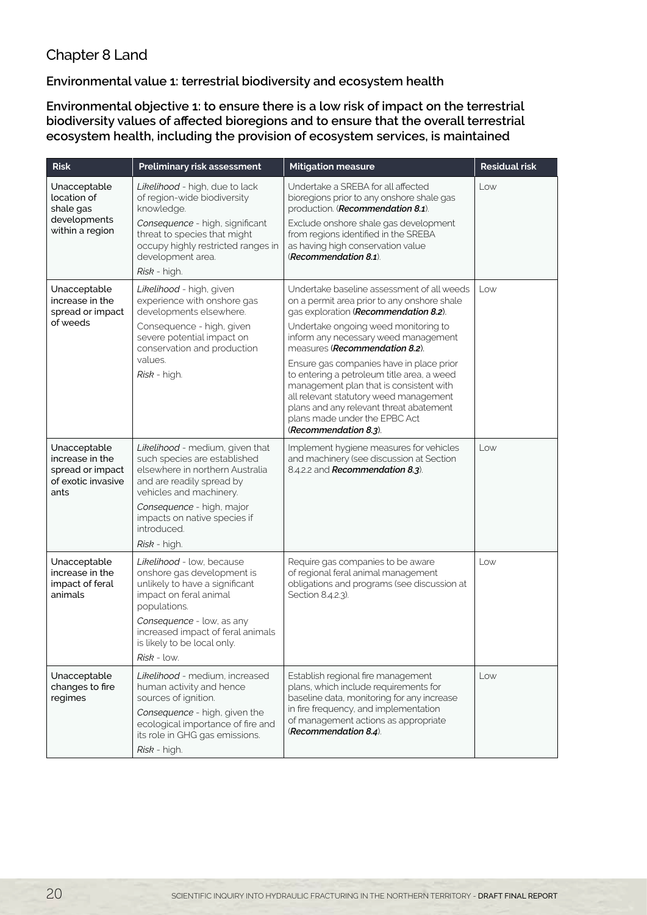# Chapter 8 Land

## **Environmental value 1: terrestrial biodiversity and ecosystem health**

**Environmental objective 1: to ensure there is a low risk of impact on the terrestrial biodiversity values of affected bioregions and to ensure that the overall terrestrial ecosystem health, including the provision of ecosystem services, is maintained**

| <b>Risk</b>                                                                       | Preliminary risk assessment                                                                                                                                | <b>Mitigation measure</b>                                                                                                                                                                                                                                                        | <b>Residual risk</b> |
|-----------------------------------------------------------------------------------|------------------------------------------------------------------------------------------------------------------------------------------------------------|----------------------------------------------------------------------------------------------------------------------------------------------------------------------------------------------------------------------------------------------------------------------------------|----------------------|
| Unacceptable<br>location of<br>shale gas                                          | Likelihood - high, due to lack<br>of region-wide biodiversity<br>knowledge.                                                                                | Undertake a SREBA for all affected<br>bioregions prior to any onshore shale gas<br>production. (Recommendation 8.1).                                                                                                                                                             | Low                  |
| developments<br>within a region                                                   | Consequence - high, significant<br>threat to species that might<br>occupy highly restricted ranges in<br>development area.                                 | Exclude onshore shale gas development<br>from regions identified in the SREBA<br>as having high conservation value<br>(Recommendation 8.1).                                                                                                                                      |                      |
|                                                                                   | Risk - high.                                                                                                                                               |                                                                                                                                                                                                                                                                                  |                      |
| Unacceptable<br>increase in the<br>spread or impact<br>of weeds                   | Likelihood - high, given<br>experience with onshore gas<br>developments elsewhere.                                                                         | Undertake baseline assessment of all weeds<br>on a permit area prior to any onshore shale<br>gas exploration (Recommendation 8.2).                                                                                                                                               | Low                  |
|                                                                                   | Consequence - high, given<br>severe potential impact on<br>conservation and production<br>values.                                                          | Undertake ongoing weed monitoring to<br>inform any necessary weed management<br>measures (Recommendation 8.2).                                                                                                                                                                   |                      |
|                                                                                   | Risk - high.                                                                                                                                               | Ensure gas companies have in place prior<br>to entering a petroleum title area, a weed<br>management plan that is consistent with<br>all relevant statutory weed management<br>plans and any relevant threat abatement<br>plans made under the EPBC Act<br>(Recommendation 8.3). |                      |
| Unacceptable<br>increase in the<br>spread or impact<br>of exotic invasive<br>ants | Likelihood - medium, given that<br>such species are established<br>elsewhere in northern Australia<br>and are readily spread by<br>vehicles and machinery. | Implement hygiene measures for vehicles<br>and machinery (see discussion at Section<br>8.4.2.2 and Recommendation 8.3).                                                                                                                                                          | Low                  |
|                                                                                   | Consequence - high, major<br>impacts on native species if<br>introduced.<br>Risk - high.                                                                   |                                                                                                                                                                                                                                                                                  |                      |
| Unacceptable<br>increase in the<br>impact of feral<br>animals                     | Likelihood - low, because<br>onshore gas development is<br>unlikely to have a significant<br>impact on feral animal<br>populations.                        | Require gas companies to be aware<br>of regional feral animal management<br>obligations and programs (see discussion at<br>Section 8.4.2.3).                                                                                                                                     | Low                  |
|                                                                                   | Consequence - low, as any<br>increased impact of feral animals<br>is likely to be local only.<br><i>Risk</i> - low.                                        |                                                                                                                                                                                                                                                                                  |                      |
| Unacceptable                                                                      | Likelihood - medium. increased                                                                                                                             | Establish regional fire management                                                                                                                                                                                                                                               | Low                  |
| changes to fire<br>regimes                                                        | human activity and hence<br>sources of ignition.                                                                                                           | plans, which include requirements for<br>baseline data, monitoring for any increase                                                                                                                                                                                              |                      |
|                                                                                   | Consequence - high, given the<br>ecological importance of fire and<br>its role in GHG gas emissions.                                                       | in fire frequency, and implementation<br>of management actions as appropriate<br>(Recommendation 8.4).                                                                                                                                                                           |                      |
|                                                                                   | Risk - high.                                                                                                                                               |                                                                                                                                                                                                                                                                                  |                      |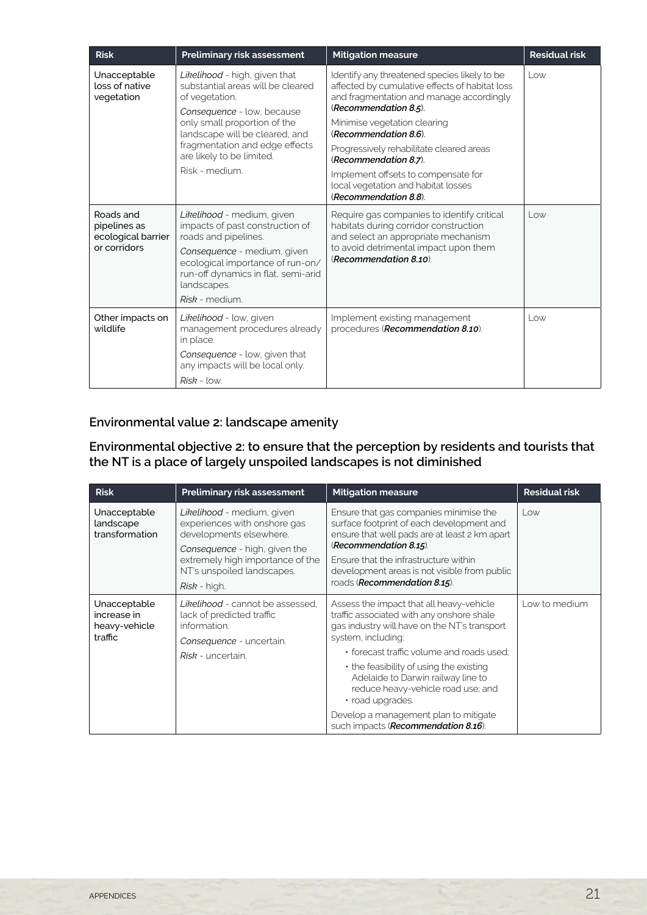| <b>Risk</b>                                                     | Preliminary risk assessment                                                                                                                                                                                                                                           | <b>Mitigation measure</b>                                                                                                                                                                                                                                                                                                                                                                                | <b>Residual risk</b> |
|-----------------------------------------------------------------|-----------------------------------------------------------------------------------------------------------------------------------------------------------------------------------------------------------------------------------------------------------------------|----------------------------------------------------------------------------------------------------------------------------------------------------------------------------------------------------------------------------------------------------------------------------------------------------------------------------------------------------------------------------------------------------------|----------------------|
| Unacceptable<br>loss of native<br>vegetation                    | Likelihood - high, given that<br>substantial areas will be cleared<br>of vegetation.<br>Consequence - low, because<br>only small proportion of the<br>landscape will be cleared, and<br>fragmentation and edge effects<br>are likely to be limited.<br>Risk - medium. | Identify any threatened species likely to be<br>affected by cumulative effects of habitat loss<br>and fragmentation and manage accordingly<br>(Recommendation 8.5).<br>Minimise vegetation clearing<br>(Recommendation 8.6).<br>Progressively rehabilitate cleared areas<br>(Recommendation 8.7).<br>Implement offsets to compensate for<br>local vegetation and habitat losses<br>(Recommendation 8.8). | $L$ $\alpha$         |
| Roads and<br>pipelines as<br>ecological barrier<br>or corridors | Likelihood - medium, given<br>impacts of past construction of<br>roads and pipelines.<br>Consequence - medium, given<br>ecological importance of run-on/<br>run-off dynamics in flat, semi-arid<br>landscapes.<br>Risk - medium.                                      | Require gas companies to identify critical<br>habitats during corridor construction<br>and select an appropriate mechanism<br>to avoid detrimental impact upon them<br>(Recommendation 8.10).                                                                                                                                                                                                            | $L$ $\alpha$         |
| Other impacts on<br>wildlife                                    | Likelihood - low, given<br>management procedures already<br>in place.<br>Consequence - low, given that<br>any impacts will be local only.<br>$Risk - low.$                                                                                                            | Implement existing management<br>procedures (Recommendation 8.10).                                                                                                                                                                                                                                                                                                                                       | Low                  |

## **Environmental value 2: landscape amenity**

#### **Environmental objective 2: to ensure that the perception by residents and tourists that the NT is a place of largely unspoiled landscapes is not diminished**

| <b>Risk</b>                                             | Preliminary risk assessment                                                                                                                                                                              | <b>Mitigation measure</b>                                                                                                                                                                                                                                                                                                                                 | <b>Residual risk</b> |
|---------------------------------------------------------|----------------------------------------------------------------------------------------------------------------------------------------------------------------------------------------------------------|-----------------------------------------------------------------------------------------------------------------------------------------------------------------------------------------------------------------------------------------------------------------------------------------------------------------------------------------------------------|----------------------|
| Unacceptable<br>landscape<br>transformation             | Likelihood - medium, given<br>experiences with onshore gas<br>developments elsewhere.<br>Consequence - high, given the<br>extremely high importance of the<br>NT's unspoiled landscapes.<br>Risk - high. | Ensure that gas companies minimise the<br>surface footprint of each development and<br>ensure that well pads are at least 2 km apart<br>(Recommendation 8.15).<br>Ensure that the infrastructure within<br>development areas is not visible from public<br>roads (Recommendation 8.15).                                                                   | Low                  |
| Unacceptable<br>increase in<br>heavy-vehicle<br>traffic | Likelihood - cannot be assessed.<br>lack of predicted traffic<br>information.<br>Consequence - uncertain.<br>Risk - uncertain.                                                                           | Assess the impact that all heavy-vehicle<br>traffic associated with any onshore shale<br>gas industry will have on the NT's transport<br>system, including:<br>• forecast traffic volume and roads used:<br>$\cdot$ the feasibility of using the existing<br>Adelaide to Darwin railway line to<br>reduce heavy-vehicle road use; and<br>· road upgrades. | Low to medium        |
|                                                         |                                                                                                                                                                                                          | Develop a management plan to mitigate<br>such impacts (Recommendation 8.16).                                                                                                                                                                                                                                                                              |                      |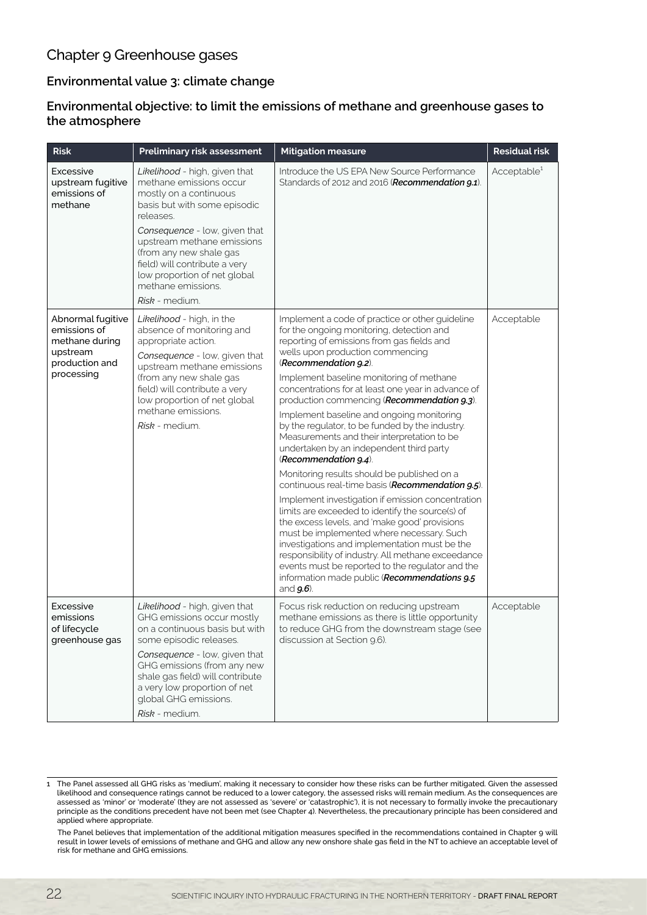# Chapter 9 Greenhouse gases

## **Environmental value 3: climate change**

### **Environmental objective: to limit the emissions of methane and greenhouse gases to**  the atmosphere

| <b>Risk</b>                                                                                     | Preliminary risk assessment                                                                                                                                                                                                                                                                                                        | <b>Mitigation measure</b>                                                                                                                                                                                                                                                                                                                                                                                                                                                                                                                                                                                                                                                                                                                                                                                                                                                                                                                                                                                                                                                                                         | <b>Residual risk</b>    |
|-------------------------------------------------------------------------------------------------|------------------------------------------------------------------------------------------------------------------------------------------------------------------------------------------------------------------------------------------------------------------------------------------------------------------------------------|-------------------------------------------------------------------------------------------------------------------------------------------------------------------------------------------------------------------------------------------------------------------------------------------------------------------------------------------------------------------------------------------------------------------------------------------------------------------------------------------------------------------------------------------------------------------------------------------------------------------------------------------------------------------------------------------------------------------------------------------------------------------------------------------------------------------------------------------------------------------------------------------------------------------------------------------------------------------------------------------------------------------------------------------------------------------------------------------------------------------|-------------------------|
| Excessive<br>upstream fugitive<br>emissions of<br>methane                                       | Likelihood - high, given that<br>methane emissions occur<br>mostly on a continuous<br>basis but with some episodic<br>releases.<br>Consequence - low, given that<br>upstream methane emissions<br>(from any new shale gas<br>field) will contribute a very<br>low proportion of net global<br>methane emissions.<br>Risk - medium. | Introduce the US EPA New Source Performance<br>Standards of 2012 and 2016 (Recommendation 9.1).                                                                                                                                                                                                                                                                                                                                                                                                                                                                                                                                                                                                                                                                                                                                                                                                                                                                                                                                                                                                                   | Acceptable <sup>1</sup> |
| Abnormal fugitive<br>emissions of<br>methane during<br>upstream<br>production and<br>processing | Likelihood - high, in the<br>absence of monitoring and<br>appropriate action.<br>Consequence - low, given that<br>upstream methane emissions<br>(from any new shale gas<br>field) will contribute a very<br>low proportion of net global<br>methane emissions.<br>Risk - medium.                                                   | Implement a code of practice or other guideline<br>for the ongoing monitoring, detection and<br>reporting of emissions from gas fields and<br>wells upon production commencing<br>(Recommendation 9.2).<br>Implement baseline monitoring of methane<br>concentrations for at least one year in advance of<br>production commencing (Recommendation 9.3).<br>Implement baseline and ongoing monitoring<br>by the regulator, to be funded by the industry.<br>Measurements and their interpretation to be<br>undertaken by an independent third party<br>(Recommendation 9.4).<br>Monitoring results should be published on a<br>continuous real-time basis (Recommendation 9.5).<br>Implement investigation if emission concentration<br>limits are exceeded to identify the source(s) of<br>the excess levels, and 'make good' provisions<br>must be implemented where necessary. Such<br>investigations and implementation must be the<br>responsibility of industry. All methane exceedance<br>events must be reported to the regulator and the<br>information made public (Recommendations 9.5<br>and $g.6$ ). | Acceptable              |
| Excessive<br>emissions<br>of lifecycle<br>greenhouse gas                                        | Likelihood - high, given that<br>GHG emissions occur mostly<br>on a continuous basis but with<br>some episodic releases.<br>Consequence - low, given that<br>GHG emissions (from any new<br>shale gas field) will contribute<br>a very low proportion of net<br>global GHG emissions.<br>Risk - medium.                            | Focus risk reduction on reducing upstream<br>methane emissions as there is little opportunity<br>to reduce GHG from the downstream stage (see<br>discussion at Section 9.6).                                                                                                                                                                                                                                                                                                                                                                                                                                                                                                                                                                                                                                                                                                                                                                                                                                                                                                                                      | Acceptable              |

<sup>1</sup> The Panel assessed all GHG risks as 'medium', making it necessary to consider how these risks can be further mitigated. Given the assessed likelihood and consequence ratings cannot be reduced to a lower category, the assessed risks will remain medium. As the consequences are assessed as 'minor' or 'moderate' (they are not assessed as 'severe' or 'catastrophic'), it is not necessary to formally invoke the precautionary principle as the conditions precedent have not been met (see Chapter 4). Nevertheless, the precautionary principle has been considered and applied where appropriate.

The Panel believes that implementation of the additional mitigation measures specified in the recommendations contained in Chapter 9 will result in lower levels of emissions of methane and GHG and allow any new onshore shale gas field in the NT to achieve an acceptable level of risk for methane and GHG emissions.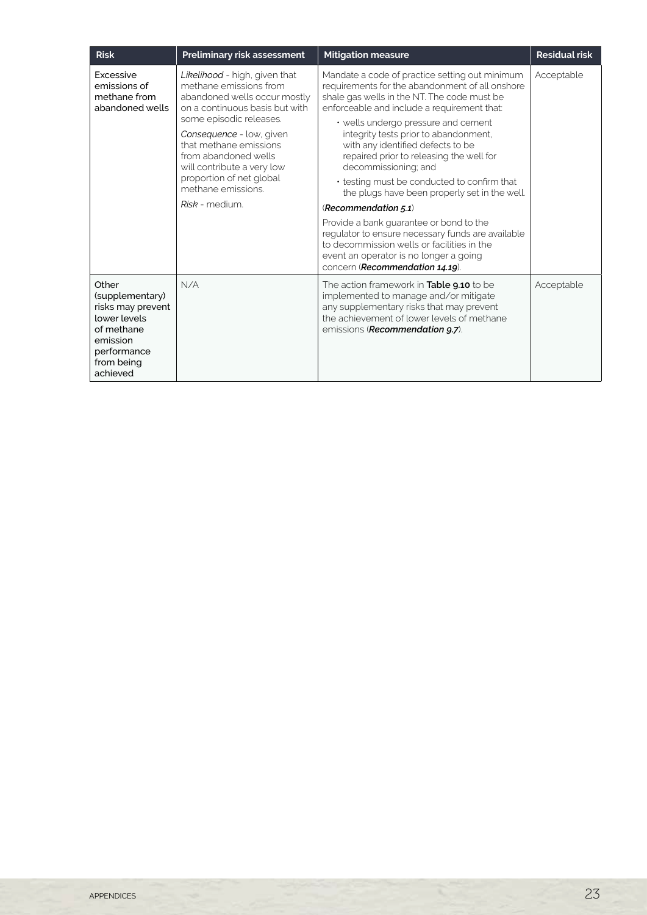| <b>Risk</b>                                                                                                                      | Preliminary risk assessment                                                                                                                                                                                                                                                                                                         | <b>Mitigation measure</b>                                                                                                                                                                                                                                                                                                                                                                                                                                                                                                                                                                                                                                                                                                                      | <b>Residual risk</b> |
|----------------------------------------------------------------------------------------------------------------------------------|-------------------------------------------------------------------------------------------------------------------------------------------------------------------------------------------------------------------------------------------------------------------------------------------------------------------------------------|------------------------------------------------------------------------------------------------------------------------------------------------------------------------------------------------------------------------------------------------------------------------------------------------------------------------------------------------------------------------------------------------------------------------------------------------------------------------------------------------------------------------------------------------------------------------------------------------------------------------------------------------------------------------------------------------------------------------------------------------|----------------------|
| <b>Excessive</b><br>emissions of<br>methane from<br>abandoned wells                                                              | Likelihood - high, given that<br>methane emissions from<br>abandoned wells occur mostly<br>on a continuous basis but with<br>some episodic releases.<br>Consequence - low, given<br>that methane emissions<br>from abandoned wells<br>will contribute a very low<br>proportion of net global<br>methane emissions<br>Risk - medium. | Mandate a code of practice setting out minimum<br>requirements for the abandonment of all onshore<br>shale gas wells in the NT. The code must be<br>enforceable and include a requirement that:<br>• wells undergo pressure and cement<br>integrity tests prior to abandonment,<br>with any identified defects to be<br>repaired prior to releasing the well for<br>decommissioning; and<br>• testing must be conducted to confirm that<br>the plugs have been properly set in the well.<br>(Recommendation $5.1$ )<br>Provide a bank guarantee or bond to the<br>regulator to ensure necessary funds are available<br>to decommission wells or facilities in the<br>event an operator is no longer a going<br>concern (Recommendation 14.19). | Acceptable           |
| Other<br>(supplementary)<br>risks may prevent<br>lower levels<br>of methane<br>emission<br>performance<br>from being<br>achieved | N/A                                                                                                                                                                                                                                                                                                                                 | The action framework in Table 9.10 to be<br>implemented to manage and/or mitigate<br>any supplementary risks that may prevent<br>the achievement of lower levels of methane<br>emissions ( <b>Recommendation 9.7</b> ).                                                                                                                                                                                                                                                                                                                                                                                                                                                                                                                        | Acceptable           |